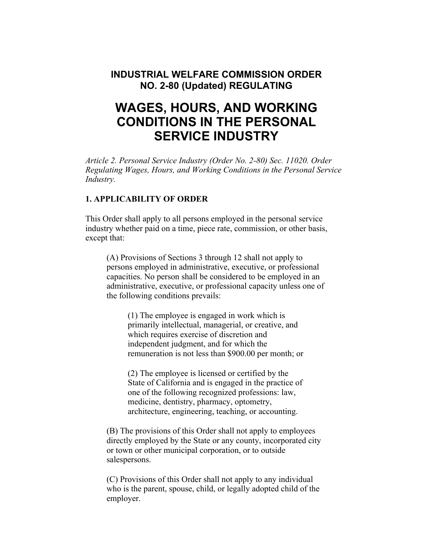## **INDUSTRIAL WELFARE COMMISSION ORDER NO. 2-80 (Updated) REGULATING**

# **WAGES, HOURS, AND WORKING CONDITIONS IN THE PERSONAL SERVICE INDUSTRY**

*Article 2. Personal Service Industry (Order No. 2-80) Sec. 11020. Order Regulating Wages, Hours, and Working Conditions in the Personal Service Industry.* 

## **1. APPLICABILITY OF ORDER**

This Order shall apply to all persons employed in the personal service industry whether paid on a time, piece rate, commission, or other basis, except that:

(A) Provisions of Sections 3 through 12 shall not apply to persons employed in administrative, executive, or professional capacities. No person shall be considered to be employed in an administrative, executive, or professional capacity unless one of the following conditions prevails:

(1) The employee is engaged in work which is primarily intellectual, managerial, or creative, and which requires exercise of discretion and independent judgment, and for which the remuneration is not less than \$900.00 per month; or

(2) The employee is licensed or certified by the State of California and is engaged in the practice of one of the following recognized professions: law, medicine, dentistry, pharmacy, optometry, architecture, engineering, teaching, or accounting.

(B) The provisions of this Order shall not apply to employees directly employed by the State or any county, incorporated city or town or other municipal corporation, or to outside salespersons.

(C) Provisions of this Order shall not apply to any individual who is the parent, spouse, child, or legally adopted child of the employer.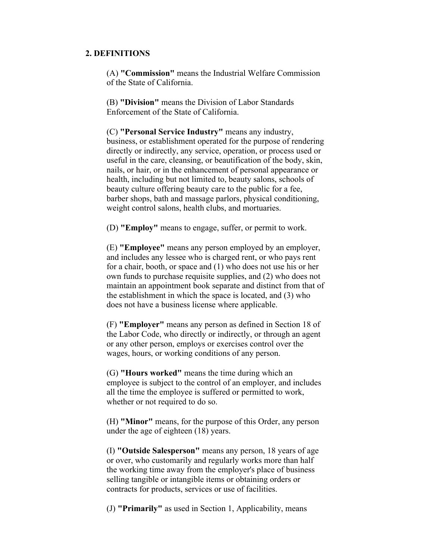#### **2. DEFINITIONS**

(A) **"Commission"** means the Industrial Welfare Commission of the State of California.

(B) **"Division"** means the Division of Labor Standards Enforcement of the State of California.

(C) **"Personal Service Industry"** means any industry, business, or establishment operated for the purpose of rendering directly or indirectly, any service, operation, or process used or useful in the care, cleansing, or beautification of the body, skin, nails, or hair, or in the enhancement of personal appearance or health, including but not limited to, beauty salons, schools of beauty culture offering beauty care to the public for a fee, barber shops, bath and massage parlors, physical conditioning, weight control salons, health clubs, and mortuaries.

(D) **"Employ"** means to engage, suffer, or permit to work.

(E) **"Employee"** means any person employed by an employer, and includes any lessee who is charged rent, or who pays rent for a chair, booth, or space and (1) who does not use his or her own funds to purchase requisite supplies, and (2) who does not maintain an appointment book separate and distinct from that of the establishment in which the space is located, and (3) who does not have a business license where applicable.

(F) **"Employer"** means any person as defined in Section 18 of the Labor Code, who directly or indirectly, or through an agent or any other person, employs or exercises control over the wages, hours, or working conditions of any person.

(G) **"Hours worked"** means the time during which an employee is subject to the control of an employer, and includes all the time the employee is suffered or permitted to work, whether or not required to do so.

(H) **"Minor"** means, for the purpose of this Order, any person under the age of eighteen (18) years.

(I) **"Outside Salesperson"** means any person, 18 years of age or over, who customarily and regularly works more than half the working time away from the employer's place of business selling tangible or intangible items or obtaining orders or contracts for products, services or use of facilities.

(J) **"Primarily"** as used in Section 1, Applicability, means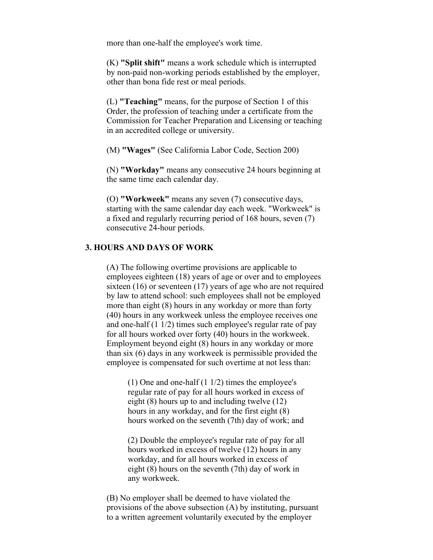more than one-half the employee's work time.

(K) **"Split shift"** means a work schedule which is interrupted by non-paid non-working periods established by the employer, other than bona fide rest or meal periods.

(L) **"Teaching"** means, for the purpose of Section 1 of this Order, the profession of teaching under a certificate from the Commission for Teacher Preparation and Licensing or teaching in an accredited college or university.

(M) **"Wages"** (See California Labor Code, Section 200)

(N) **"Workday"** means any consecutive 24 hours beginning at the same time each calendar day.

(O) **"Workweek"** means any seven (7) consecutive days, starting with the same calendar day each week. "Workweek" is a fixed and regularly recurring period of 168 hours, seven (7) consecutive 24-hour periods.

#### **3. HOURS AND DAYS OF WORK**

(A) The following overtime provisions are applicable to employees eighteen (18) years of age or over and to employees sixteen (16) or seventeen (17) years of age who are not required by law to attend school: such employees shall not be employed more than eight (8) hours in any workday or more than forty (40) hours in any workweek unless the employee receives one and one-half (1 1/2) times such employee's regular rate of pay for all hours worked over forty (40) hours in the workweek. Employment beyond eight (8) hours in any workday or more than six (6) days in any workweek is permissible provided the employee is compensated for such overtime at not less than:

(1) One and one-half (1 1/2) times the employee's regular rate of pay for all hours worked in excess of eight (8) hours up to and including twelve (12) hours in any workday, and for the first eight (8) hours worked on the seventh (7th) day of work; and

(2) Double the employee's regular rate of pay for all hours worked in excess of twelve (12) hours in any workday, and for all hours worked in excess of eight (8) hours on the seventh (7th) day of work in any workweek.

(B) No employer shall be deemed to have violated the provisions of the above subsection (A) by instituting, pursuant to a written agreement voluntarily executed by the employer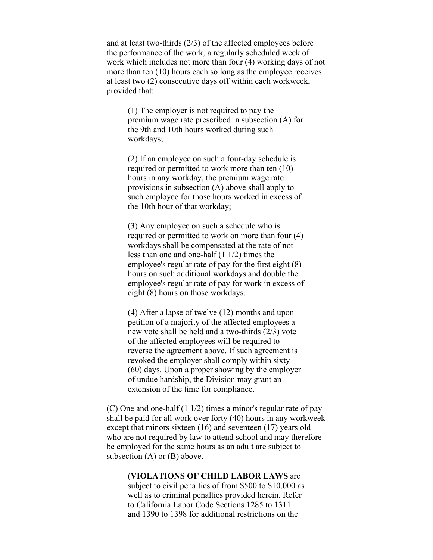and at least two-thirds (2/3) of the affected employees before the performance of the work, a regularly scheduled week of work which includes not more than four (4) working days of not more than ten (10) hours each so long as the employee receives at least two (2) consecutive days off within each workweek, provided that:

(1) The employer is not required to pay the premium wage rate prescribed in subsection (A) for the 9th and 10th hours worked during such workdays;

(2) If an employee on such a four-day schedule is required or permitted to work more than ten (10) hours in any workday, the premium wage rate provisions in subsection (A) above shall apply to such employee for those hours worked in excess of the 10th hour of that workday;

(3) Any employee on such a schedule who is required or permitted to work on more than four (4) workdays shall be compensated at the rate of not less than one and one-half (1 1/2) times the employee's regular rate of pay for the first eight (8) hours on such additional workdays and double the employee's regular rate of pay for work in excess of eight (8) hours on those workdays.

(4) After a lapse of twelve (12) months and upon petition of a majority of the affected employees a new vote shall be held and a two-thirds (2/3) vote of the affected employees will be required to reverse the agreement above. If such agreement is revoked the employer shall comply within sixty (60) days. Upon a proper showing by the employer of undue hardship, the Division may grant an extension of the time for compliance.

(C) One and one-half (1 1/2) times a minor's regular rate of pay shall be paid for all work over forty (40) hours in any workweek except that minors sixteen (16) and seventeen (17) years old who are not required by law to attend school and may therefore be employed for the same hours as an adult are subject to subsection  $(A)$  or  $(B)$  above.

## (**VIOLATIONS OF CHILD LABOR LAWS** are

subject to civil penalties of from \$500 to \$10,000 as well as to criminal penalties provided herein. Refer to California Labor Code Sections 1285 to 1311 and 1390 to 1398 for additional restrictions on the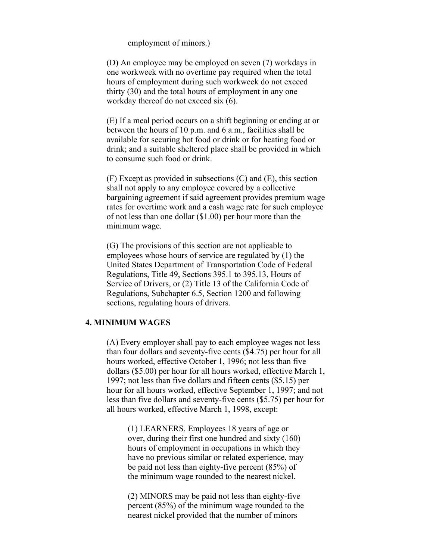employment of minors.)

(D) An employee may be employed on seven (7) workdays in one workweek with no overtime pay required when the total hours of employment during such workweek do not exceed thirty (30) and the total hours of employment in any one workday thereof do not exceed six (6).

(E) If a meal period occurs on a shift beginning or ending at or between the hours of 10 p.m. and 6 a.m., facilities shall be available for securing hot food or drink or for heating food or drink; and a suitable sheltered place shall be provided in which to consume such food or drink.

(F) Except as provided in subsections (C) and (E), this section shall not apply to any employee covered by a collective bargaining agreement if said agreement provides premium wage rates for overtime work and a cash wage rate for such employee of not less than one dollar (\$1.00) per hour more than the minimum wage.

(G) The provisions of this section are not applicable to employees whose hours of service are regulated by (1) the United States Department of Transportation Code of Federal Regulations, Title 49, Sections 395.1 to 395.13, Hours of Service of Drivers, or (2) Title 13 of the California Code of Regulations, Subchapter 6.5, Section 1200 and following sections, regulating hours of drivers.

### **4. MINIMUM WAGES**

(A) Every employer shall pay to each employee wages not less than four dollars and seventy-five cents (\$4.75) per hour for all hours worked, effective October 1, 1996; not less than five dollars (\$5.00) per hour for all hours worked, effective March 1, 1997; not less than five dollars and fifteen cents (\$5.15) per hour for all hours worked, effective September 1, 1997; and not less than five dollars and seventy-five cents (\$5.75) per hour for all hours worked, effective March 1, 1998, except:

(1) LEARNERS. Employees 18 years of age or over, during their first one hundred and sixty (160) hours of employment in occupations in which they have no previous similar or related experience, may be paid not less than eighty-five percent (85%) of the minimum wage rounded to the nearest nickel.

(2) MINORS may be paid not less than eighty-five percent (85%) of the minimum wage rounded to the nearest nickel provided that the number of minors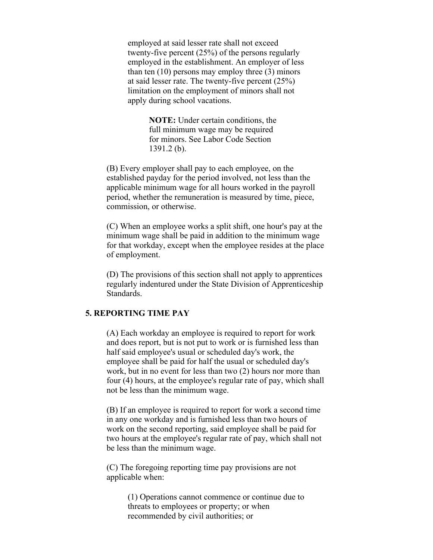employed at said lesser rate shall not exceed twenty-five percent (25%) of the persons regularly employed in the establishment. An employer of less than ten (10) persons may employ three (3) minors at said lesser rate. The twenty-five percent (25%) limitation on the employment of minors shall not apply during school vacations.

> **NOTE:** Under certain conditions, the full minimum wage may be required for minors. See Labor Code Section 1391.2 (b).

(B) Every employer shall pay to each employee, on the established payday for the period involved, not less than the applicable minimum wage for all hours worked in the payroll period, whether the remuneration is measured by time, piece, commission, or otherwise.

(C) When an employee works a split shift, one hour's pay at the minimum wage shall be paid in addition to the minimum wage for that workday, except when the employee resides at the place of employment.

(D) The provisions of this section shall not apply to apprentices regularly indentured under the State Division of Apprenticeship **Standards** 

## **5. REPORTING TIME PAY**

(A) Each workday an employee is required to report for work and does report, but is not put to work or is furnished less than half said employee's usual or scheduled day's work, the employee shall be paid for half the usual or scheduled day's work, but in no event for less than two (2) hours nor more than four (4) hours, at the employee's regular rate of pay, which shall not be less than the minimum wage.

(B) If an employee is required to report for work a second time in any one workday and is furnished less than two hours of work on the second reporting, said employee shall be paid for two hours at the employee's regular rate of pay, which shall not be less than the minimum wage.

(C) The foregoing reporting time pay provisions are not applicable when:

> (1) Operations cannot commence or continue due to threats to employees or property; or when recommended by civil authorities; or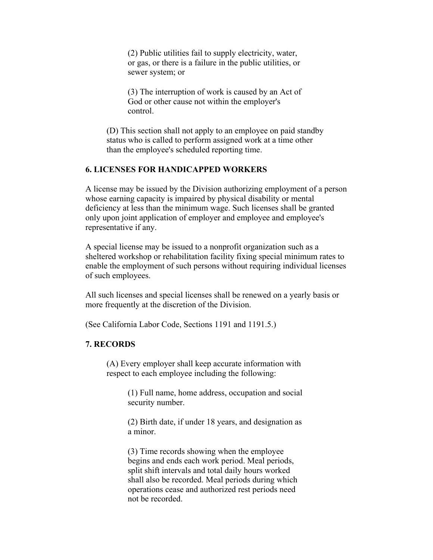(2) Public utilities fail to supply electricity, water, or gas, or there is a failure in the public utilities, or sewer system; or

(3) The interruption of work is caused by an Act of God or other cause not within the employer's control.

(D) This section shall not apply to an employee on paid standby status who is called to perform assigned work at a time other than the employee's scheduled reporting time.

#### **6. LICENSES FOR HANDICAPPED WORKERS**

A license may be issued by the Division authorizing employment of a person whose earning capacity is impaired by physical disability or mental deficiency at less than the minimum wage. Such licenses shall be granted only upon joint application of employer and employee and employee's representative if any.

A special license may be issued to a nonprofit organization such as a sheltered workshop or rehabilitation facility fixing special minimum rates to enable the employment of such persons without requiring individual licenses of such employees.

All such licenses and special licenses shall be renewed on a yearly basis or more frequently at the discretion of the Division.

(See California Labor Code, Sections 1191 and 1191.5.)

#### **7. RECORDS**

(A) Every employer shall keep accurate information with respect to each employee including the following:

> (1) Full name, home address, occupation and social security number.

> (2) Birth date, if under 18 years, and designation as a minor.

(3) Time records showing when the employee begins and ends each work period. Meal periods, split shift intervals and total daily hours worked shall also be recorded. Meal periods during which operations cease and authorized rest periods need not be recorded.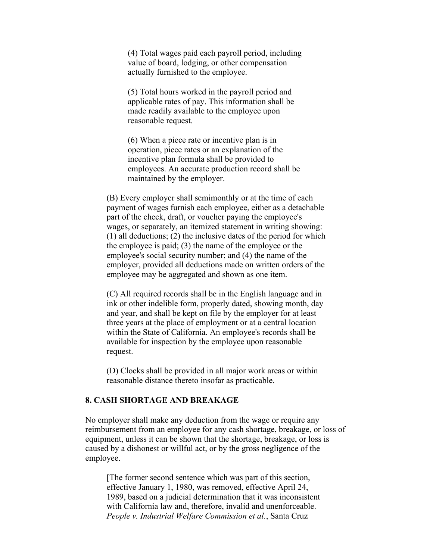(4) Total wages paid each payroll period, including value of board, lodging, or other compensation actually furnished to the employee.

(5) Total hours worked in the payroll period and applicable rates of pay. This information shall be made readily available to the employee upon reasonable request.

(6) When a piece rate or incentive plan is in operation, piece rates or an explanation of the incentive plan formula shall be provided to employees. An accurate production record shall be maintained by the employer.

(B) Every employer shall semimonthly or at the time of each payment of wages furnish each employee, either as a detachable part of the check, draft, or voucher paying the employee's wages, or separately, an itemized statement in writing showing: (1) all deductions; (2) the inclusive dates of the period for which the employee is paid; (3) the name of the employee or the employee's social security number; and (4) the name of the employer, provided all deductions made on written orders of the employee may be aggregated and shown as one item.

(C) All required records shall be in the English language and in ink or other indelible form, properly dated, showing month, day and year, and shall be kept on file by the employer for at least three years at the place of employment or at a central location within the State of California. An employee's records shall be available for inspection by the employee upon reasonable request.

(D) Clocks shall be provided in all major work areas or within reasonable distance thereto insofar as practicable.

## **8. CASH SHORTAGE AND BREAKAGE**

No employer shall make any deduction from the wage or require any reimbursement from an employee for any cash shortage, breakage, or loss of equipment, unless it can be shown that the shortage, breakage, or loss is caused by a dishonest or willful act, or by the gross negligence of the employee.

[The former second sentence which was part of this section, effective January 1, 1980, was removed, effective April 24, 1989, based on a judicial determination that it was inconsistent with California law and, therefore, invalid and unenforceable. *People v. Industrial Welfare Commission et al.*, Santa Cruz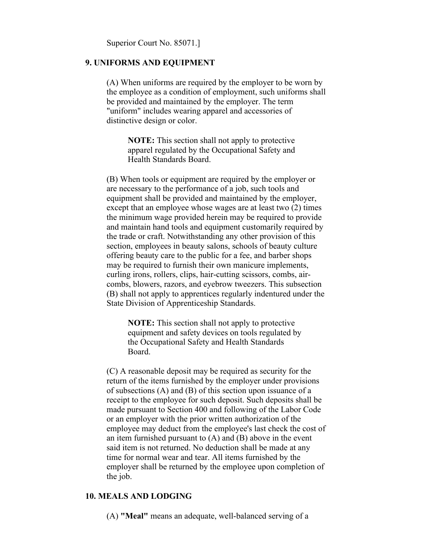## **9. UNIFORMS AND EQUIPMENT**

(A) When uniforms are required by the employer to be worn by the employee as a condition of employment, such uniforms shall be provided and maintained by the employer. The term "uniform" includes wearing apparel and accessories of distinctive design or color.

**NOTE:** This section shall not apply to protective apparel regulated by the Occupational Safety and Health Standards Board.

(B) When tools or equipment are required by the employer or are necessary to the performance of a job, such tools and equipment shall be provided and maintained by the employer, except that an employee whose wages are at least two (2) times the minimum wage provided herein may be required to provide and maintain hand tools and equipment customarily required by the trade or craft. Notwithstanding any other provision of this section, employees in beauty salons, schools of beauty culture offering beauty care to the public for a fee, and barber shops may be required to furnish their own manicure implements, curling irons, rollers, clips, hair-cutting scissors, combs, aircombs, blowers, razors, and eyebrow tweezers. This subsection (B) shall not apply to apprentices regularly indentured under the State Division of Apprenticeship Standards.

**NOTE:** This section shall not apply to protective equipment and safety devices on tools regulated by the Occupational Safety and Health Standards Board.

(C) A reasonable deposit may be required as security for the return of the items furnished by the employer under provisions of subsections (A) and (B) of this section upon issuance of a receipt to the employee for such deposit. Such deposits shall be made pursuant to Section 400 and following of the Labor Code or an employer with the prior written authorization of the employee may deduct from the employee's last check the cost of an item furnished pursuant to (A) and (B) above in the event said item is not returned. No deduction shall be made at any time for normal wear and tear. All items furnished by the employer shall be returned by the employee upon completion of the job.

#### **10. MEALS AND LODGING**

(A) **"Meal"** means an adequate, well-balanced serving of a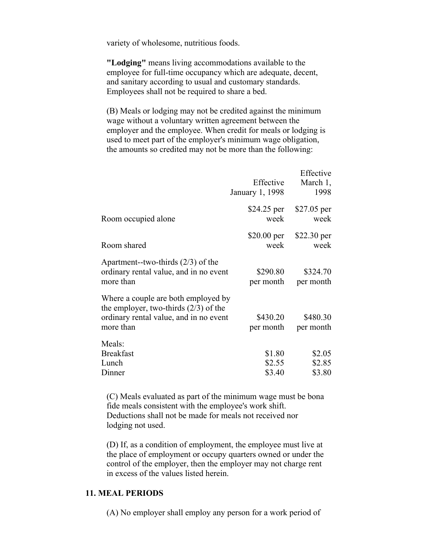variety of wholesome, nutritious foods.

**"Lodging"** means living accommodations available to the employee for full-time occupancy which are adequate, decent, and sanitary according to usual and customary standards. Employees shall not be required to share a bed.

(B) Meals or lodging may not be credited against the minimum wage without a voluntary written agreement between the employer and the employee. When credit for meals or lodging is used to meet part of the employer's minimum wage obligation, the amounts so credited may not be more than the following:

|                                                                                                                                       | Effective<br>January 1, 1998 | Effective<br>March 1,<br>1998 |
|---------------------------------------------------------------------------------------------------------------------------------------|------------------------------|-------------------------------|
| Room occupied alone                                                                                                                   | \$24.25 per<br>week          | \$27.05 per<br>week           |
| Room shared                                                                                                                           | $$20.00$ per<br>week         | \$22.30 per<br>week           |
| Apartment-two-thirds $(2/3)$ of the<br>ordinary rental value, and in no event<br>more than                                            | \$290.80<br>per month        | \$324.70<br>per month         |
| Where a couple are both employed by<br>the employer, two-thirds $(2/3)$ of the<br>ordinary rental value, and in no event<br>more than | \$430.20<br>per month        | \$480.30<br>per month         |
| Meals:<br><b>Breakfast</b><br>Lunch<br>Dinner                                                                                         | \$1.80<br>\$2.55<br>\$3.40   | \$2.05<br>\$2.85<br>\$3.80    |

(C) Meals evaluated as part of the minimum wage must be bona fide meals consistent with the employee's work shift. Deductions shall not be made for meals not received nor lodging not used.

(D) If, as a condition of employment, the employee must live at the place of employment or occupy quarters owned or under the control of the employer, then the employer may not charge rent in excess of the values listed herein.

#### **11. MEAL PERIODS**

(A) No employer shall employ any person for a work period of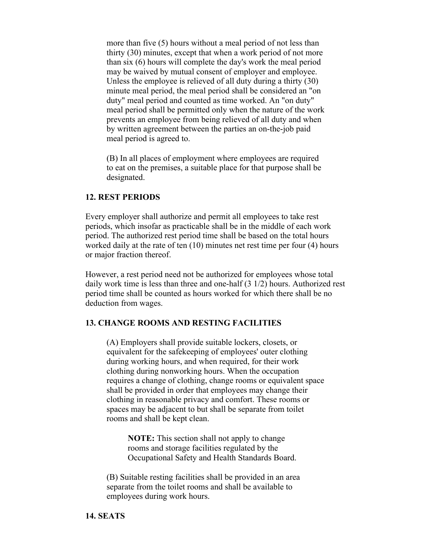more than five (5) hours without a meal period of not less than thirty (30) minutes, except that when a work period of not more than six (6) hours will complete the day's work the meal period may be waived by mutual consent of employer and employee. Unless the employee is relieved of all duty during a thirty (30) minute meal period, the meal period shall be considered an "on duty" meal period and counted as time worked. An "on duty" meal period shall be permitted only when the nature of the work prevents an employee from being relieved of all duty and when by written agreement between the parties an on-the-job paid meal period is agreed to.

(B) In all places of employment where employees are required to eat on the premises, a suitable place for that purpose shall be designated.

#### **12. REST PERIODS**

Every employer shall authorize and permit all employees to take rest periods, which insofar as practicable shall be in the middle of each work period. The authorized rest period time shall be based on the total hours worked daily at the rate of ten (10) minutes net rest time per four (4) hours or major fraction thereof.

However, a rest period need not be authorized for employees whose total daily work time is less than three and one-half (3 1/2) hours. Authorized rest period time shall be counted as hours worked for which there shall be no deduction from wages.

## **13. CHANGE ROOMS AND RESTING FACILITIES**

(A) Employers shall provide suitable lockers, closets, or equivalent for the safekeeping of employees' outer clothing during working hours, and when required, for their work clothing during nonworking hours. When the occupation requires a change of clothing, change rooms or equivalent space shall be provided in order that employees may change their clothing in reasonable privacy and comfort. These rooms or spaces may be adjacent to but shall be separate from toilet rooms and shall be kept clean.

**NOTE:** This section shall not apply to change rooms and storage facilities regulated by the Occupational Safety and Health Standards Board.

(B) Suitable resting facilities shall be provided in an area separate from the toilet rooms and shall be available to employees during work hours.

#### **14. SEATS**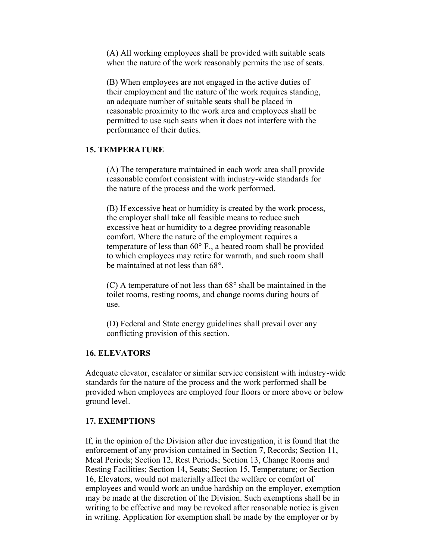(A) All working employees shall be provided with suitable seats when the nature of the work reasonably permits the use of seats.

(B) When employees are not engaged in the active duties of their employment and the nature of the work requires standing, an adequate number of suitable seats shall be placed in reasonable proximity to the work area and employees shall be permitted to use such seats when it does not interfere with the performance of their duties.

#### **15. TEMPERATURE**

(A) The temperature maintained in each work area shall provide reasonable comfort consistent with industry-wide standards for the nature of the process and the work performed.

(B) If excessive heat or humidity is created by the work process, the employer shall take all feasible means to reduce such excessive heat or humidity to a degree providing reasonable comfort. Where the nature of the employment requires a temperature of less than 60° F., a heated room shall be provided to which employees may retire for warmth, and such room shall be maintained at not less than 68°.

(C) A temperature of not less than 68° shall be maintained in the toilet rooms, resting rooms, and change rooms during hours of use.

(D) Federal and State energy guidelines shall prevail over any conflicting provision of this section.

#### **16. ELEVATORS**

Adequate elevator, escalator or similar service consistent with industry-wide standards for the nature of the process and the work performed shall be provided when employees are employed four floors or more above or below ground level.

#### **17. EXEMPTIONS**

If, in the opinion of the Division after due investigation, it is found that the enforcement of any provision contained in Section 7, Records; Section 11, Meal Periods; Section 12, Rest Periods; Section 13, Change Rooms and Resting Facilities; Section 14, Seats; Section 15, Temperature; or Section 16, Elevators, would not materially affect the welfare or comfort of employees and would work an undue hardship on the employer, exemption may be made at the discretion of the Division. Such exemptions shall be in writing to be effective and may be revoked after reasonable notice is given in writing. Application for exemption shall be made by the employer or by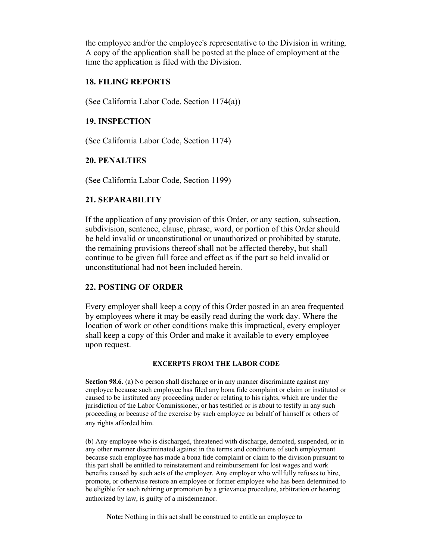the employee and/or the employee's representative to the Division in writing. A copy of the application shall be posted at the place of employment at the time the application is filed with the Division.

## **18. FILING REPORTS**

(See California Labor Code, Section 1174(a))

## **19. INSPECTION**

(See California Labor Code, Section 1174)

## **20. PENALTIES**

(See California Labor Code, Section 1199)

## **21. SEPARABILITY**

If the application of any provision of this Order, or any section, subsection, subdivision, sentence, clause, phrase, word, or portion of this Order should be held invalid or unconstitutional or unauthorized or prohibited by statute, the remaining provisions thereof shall not be affected thereby, but shall continue to be given full force and effect as if the part so held invalid or unconstitutional had not been included herein.

## **22. POSTING OF ORDER**

Every employer shall keep a copy of this Order posted in an area frequented by employees where it may be easily read during the work day. Where the location of work or other conditions make this impractical, every employer shall keep a copy of this Order and make it available to every employee upon request.

## **EXCERPTS FROM THE LABOR CODE**

**Section 98.6.** (a) No person shall discharge or in any manner discriminate against any employee because such employee has filed any bona fide complaint or claim or instituted or caused to be instituted any proceeding under or relating to his rights, which are under the jurisdiction of the Labor Commissioner, or has testified or is about to testify in any such proceeding or because of the exercise by such employee on behalf of himself or others of any rights afforded him.

(b) Any employee who is discharged, threatened with discharge, demoted, suspended, or in any other manner discriminated against in the terms and conditions of such employment because such employee has made a bona fide complaint or claim to the division pursuant to this part shall be entitled to reinstatement and reimbursement for lost wages and work benefits caused by such acts of the employer. Any employer who willfully refuses to hire, promote, or otherwise restore an employee or former employee who has been determined to be eligible for such rehiring or promotion by a grievance procedure, arbitration or hearing authorized by law, is guilty of a misdemeanor.

**Note:** Nothing in this act shall be construed to entitle an employee to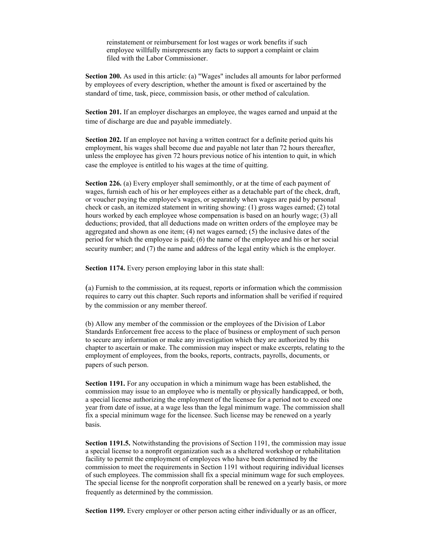reinstatement or reimbursement for lost wages or work benefits if such employee willfully misrepresents any facts to support a complaint or claim filed with the Labor Commissioner.

**Section 200.** As used in this article: (a) "Wages" includes all amounts for labor performed by employees of every description, whether the amount is fixed or ascertained by the standard of time, task, piece, commission basis, or other method of calculation.

**Section 201.** If an employer discharges an employee, the wages earned and unpaid at the time of discharge are due and payable immediately.

**Section 202.** If an employee not having a written contract for a definite period quits his employment, his wages shall become due and payable not later than 72 hours thereafter, unless the employee has given 72 hours previous notice of his intention to quit, in which case the employee is entitled to his wages at the time of quitting.

**Section 226.** (a) Every employer shall semimonthly, or at the time of each payment of wages, furnish each of his or her employees either as a detachable part of the check, draft, or voucher paying the employee's wages, or separately when wages are paid by personal check or cash, an itemized statement in writing showing: (1) gross wages earned; (2) total hours worked by each employee whose compensation is based on an hourly wage; (3) all deductions; provided, that all deductions made on written orders of the employee may be aggregated and shown as one item; (4) net wages earned; (5) the inclusive dates of the period for which the employee is paid; (6) the name of the employee and his or her social security number; and (7) the name and address of the legal entity which is the employer.

**Section 1174.** Every person employing labor in this state shall:

(a) Furnish to the commission, at its request, reports or information which the commission requires to carry out this chapter. Such reports and information shall be verified if required by the commission or any member thereof.

(b) Allow any member of the commission or the employees of the Division of Labor Standards Enforcement free access to the place of business or employment of such person to secure any information or make any investigation which they are authorized by this chapter to ascertain or make. The commission may inspect or make excerpts, relating to the employment of employees, from the books, reports, contracts, payrolls, documents, or papers of such person.

**Section 1191.** For any occupation in which a minimum wage has been established, the commission may issue to an employee who is mentally or physically handicapped, or both, a special license authorizing the employment of the licensee for a period not to exceed one year from date of issue, at a wage less than the legal minimum wage. The commission shall fix a special minimum wage for the licensee. Such license may be renewed on a yearly basis.

**Section 1191.5.** Notwithstanding the provisions of Section 1191, the commission may issue a special license to a nonprofit organization such as a sheltered workshop or rehabilitation facility to permit the employment of employees who have been determined by the commission to meet the requirements in Section 1191 without requiring individual licenses of such employees. The commission shall fix a special minimum wage for such employees. The special license for the nonprofit corporation shall be renewed on a yearly basis, or more frequently as determined by the commission.

**Section 1199.** Every employer or other person acting either individually or as an officer,